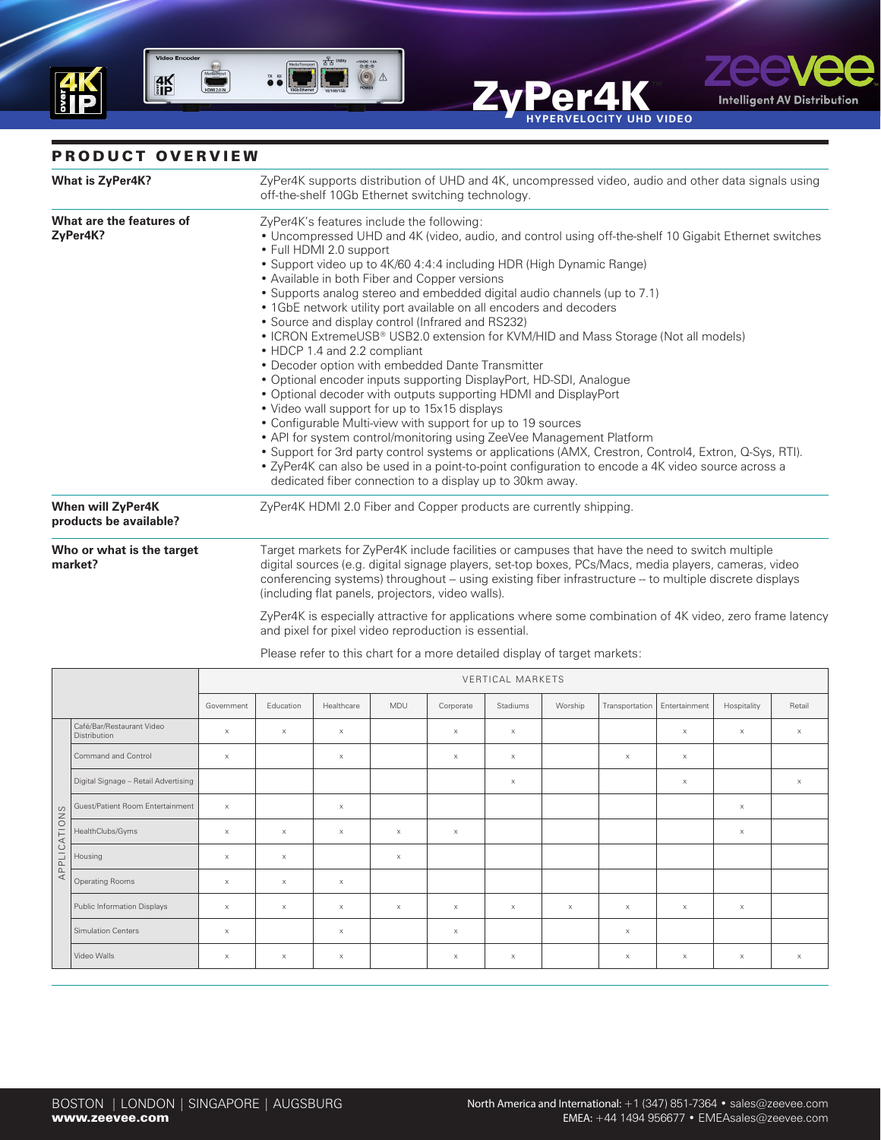

## PRODUCT OVERVIEW

| <b>What is ZyPer4K?</b>                            | ZyPer4K supports distribution of UHD and 4K, uncompressed video, audio and other data signals using<br>off-the-shelf 10Gb Ethernet switching technology.                                                                                                                                                                                                                                                                                                                                                                                                                                                                                                                                                                                                                                                                                                                                                                                                                                                                                                                                                                                                                                                                                                                                            |
|----------------------------------------------------|-----------------------------------------------------------------------------------------------------------------------------------------------------------------------------------------------------------------------------------------------------------------------------------------------------------------------------------------------------------------------------------------------------------------------------------------------------------------------------------------------------------------------------------------------------------------------------------------------------------------------------------------------------------------------------------------------------------------------------------------------------------------------------------------------------------------------------------------------------------------------------------------------------------------------------------------------------------------------------------------------------------------------------------------------------------------------------------------------------------------------------------------------------------------------------------------------------------------------------------------------------------------------------------------------------|
| What are the features of<br>ZyPer4K?               | ZyPer4K's features include the following:<br>• Uncompressed UHD and 4K (video, audio, and control using off-the-shelf 10 Gigabit Ethernet switches<br>• Full HDMI 2.0 support<br>• Support video up to 4K/60 4:4:4 including HDR (High Dynamic Range)<br>• Available in both Fiber and Copper versions<br>• Supports analog stereo and embedded digital audio channels (up to 7.1)<br>• 1GbE network utility port available on all encoders and decoders<br>• Source and display control (Infrared and RS232)<br>• ICRON ExtremeUSB® USB2.0 extension for KVM/HID and Mass Storage (Not all models)<br>• HDCP 1.4 and 2.2 compliant<br>• Decoder option with embedded Dante Transmitter<br>• Optional encoder inputs supporting DisplayPort, HD-SDI, Analogue<br>• Optional decoder with outputs supporting HDMI and DisplayPort<br>• Video wall support for up to 15x15 displays<br>• Configurable Multi-view with support for up to 19 sources<br>• API for system control/monitoring using ZeeVee Management Platform<br>• Support for 3rd party control systems or applications (AMX, Crestron, Control4, Extron, Q-Sys, RTI).<br>• ZyPer4K can also be used in a point-to-point configuration to encode a 4K video source across a<br>dedicated fiber connection to a display up to 30km away. |
| <b>When will ZyPer4K</b><br>products be available? | ZyPer4K HDMI 2.0 Fiber and Copper products are currently shipping.                                                                                                                                                                                                                                                                                                                                                                                                                                                                                                                                                                                                                                                                                                                                                                                                                                                                                                                                                                                                                                                                                                                                                                                                                                  |
| Who or what is the target<br>market?               | Target markets for ZyPer4K include facilities or campuses that have the need to switch multiple<br>digital sources (e.g. digital signage players, set-top boxes, PCs/Macs, media players, cameras, video<br>conferencing systems) throughout -- using existing fiber infrastructure -- to multiple discrete displays<br>(including flat panels, projectors, video walls).                                                                                                                                                                                                                                                                                                                                                                                                                                                                                                                                                                                                                                                                                                                                                                                                                                                                                                                           |
|                                                    | ZyPer4K is especially attractive for applications where some combination of 4K video, zero frame latency<br>and pixel for pixel video reproduction is essential.                                                                                                                                                                                                                                                                                                                                                                                                                                                                                                                                                                                                                                                                                                                                                                                                                                                                                                                                                                                                                                                                                                                                    |

ZyPer4

**HYPERVELOCITY UHD VIDEO**

zee

**Intelligent AV Distribution** 

|              |                                                  | VERTICAL MARKETS      |           |            |                       |                       |                       |          |                |               |                       |                           |
|--------------|--------------------------------------------------|-----------------------|-----------|------------|-----------------------|-----------------------|-----------------------|----------|----------------|---------------|-----------------------|---------------------------|
|              |                                                  | Government            | Education | Healthcare | MDU                   | Corporate             | Stadiums              | Worship  | Transportation | Entertainment | Hospitality           | Retail                    |
|              | Café/Bar/Restaurant Video<br><b>Distribution</b> | $\times$              | $\times$  | $\times$   |                       | $\times$              | $\boldsymbol{\times}$ |          |                | $\times$      | $\times$              | $\times$                  |
| APPLICATIONS | Command and Control                              | $\times$              |           | $\times$   |                       | $\boldsymbol{\times}$ | $\boldsymbol{\times}$ |          | $\times$       | $\mathsf X$   |                       |                           |
|              | Digital Signage - Retail Advertising             |                       |           |            |                       |                       | $\mathsf X$           |          |                | $\mathsf X$   |                       | $\boldsymbol{\mathsf{X}}$ |
|              | Guest/Patient Room Entertainment                 | $\boldsymbol{\times}$ |           | $\times$   |                       |                       |                       |          |                |               | $\boldsymbol{\times}$ |                           |
|              | HealthClubs/Gyms                                 | $\times$              | $\times$  | $\times$   | $\boldsymbol{\times}$ | $\boldsymbol{\times}$ |                       |          |                |               | $\boldsymbol{\times}$ |                           |
|              | Housing                                          | $\times$              | $\times$  |            | $\boldsymbol{\times}$ |                       |                       |          |                |               |                       |                           |
|              | Operating Rooms                                  | $\times$              | $\times$  | $\times$   |                       |                       |                       |          |                |               |                       |                           |
|              | Public Information Displays                      | $\times$              | $\times$  | $\times$   | $\boldsymbol{\times}$ | $\boldsymbol{\times}$ | $\boldsymbol{\times}$ | $\times$ | $\times$       | $\times$      | $\times$              |                           |
|              | Simulation Centers                               | $\times$              |           | $\times$   |                       | $\boldsymbol{\times}$ |                       |          | $\times$       |               |                       |                           |
|              | Video Walls                                      | $\times$              | $\times$  | $\times$   |                       | $\times$              | $\times$              |          | $\times$       | $\times$      | $\times$              | $\times$                  |

Please refer to this chart for a more detailed display of target markets: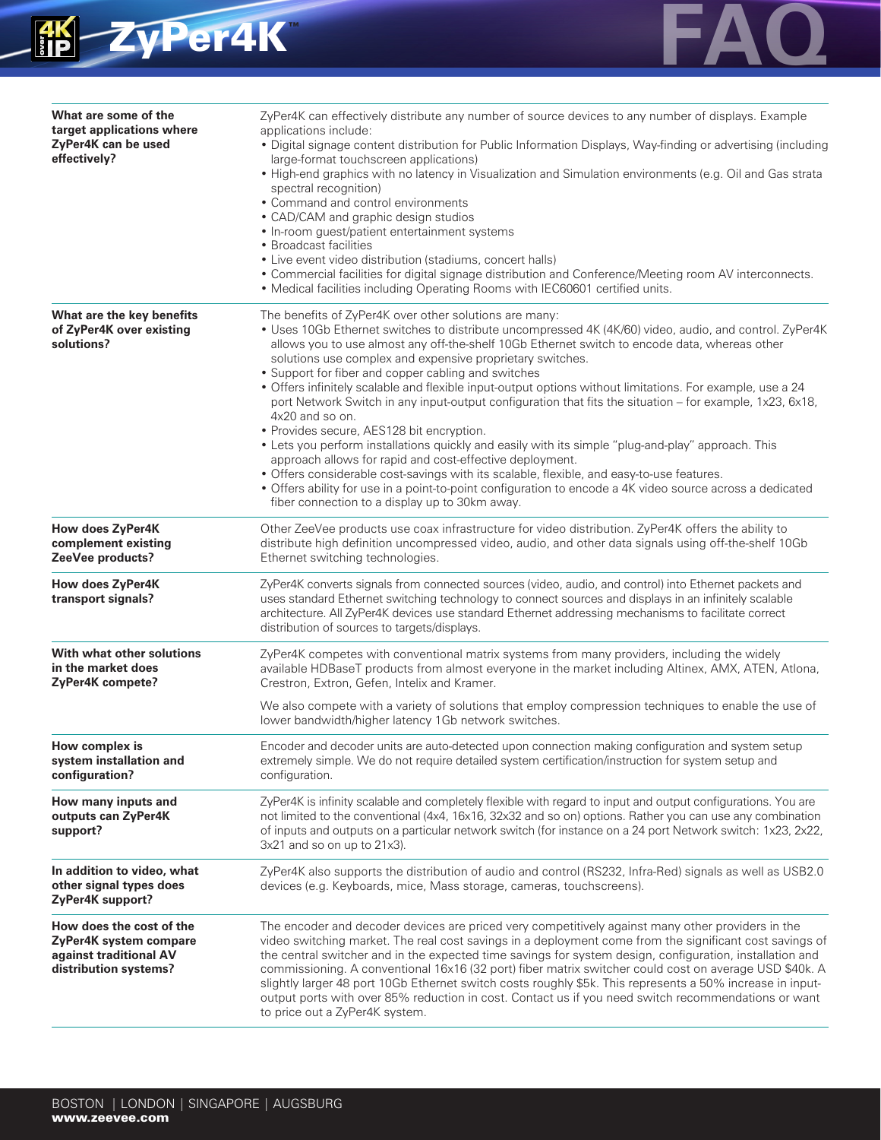



| What are some of the<br>target applications where<br>ZyPer4K can be used<br>effectively?              | ZyPer4K can effectively distribute any number of source devices to any number of displays. Example<br>applications include:<br>· Digital signage content distribution for Public Information Displays, Way-finding or advertising (including<br>large-format touchscreen applications)<br>• High-end graphics with no latency in Visualization and Simulation environments (e.g. Oil and Gas strata<br>spectral recognition)<br>• Command and control environments<br>• CAD/CAM and graphic design studios<br>• In-room guest/patient entertainment systems<br>• Broadcast facilities<br>• Live event video distribution (stadiums, concert halls)<br>• Commercial facilities for digital signage distribution and Conference/Meeting room AV interconnects.<br>• Medical facilities including Operating Rooms with IEC60601 certified units.                                                                                                                                                                                                                                                                |
|-------------------------------------------------------------------------------------------------------|--------------------------------------------------------------------------------------------------------------------------------------------------------------------------------------------------------------------------------------------------------------------------------------------------------------------------------------------------------------------------------------------------------------------------------------------------------------------------------------------------------------------------------------------------------------------------------------------------------------------------------------------------------------------------------------------------------------------------------------------------------------------------------------------------------------------------------------------------------------------------------------------------------------------------------------------------------------------------------------------------------------------------------------------------------------------------------------------------------------|
| What are the key benefits<br>of ZyPer4K over existing<br>solutions?                                   | The benefits of ZyPer4K over other solutions are many:<br>• Uses 10Gb Ethernet switches to distribute uncompressed 4K (4K/60) video, audio, and control. ZyPer4K<br>allows you to use almost any off-the-shelf 10Gb Ethernet switch to encode data, whereas other<br>solutions use complex and expensive proprietary switches.<br>• Support for fiber and copper cabling and switches<br>• Offers infinitely scalable and flexible input-output options without limitations. For example, use a 24<br>port Network Switch in any input-output configuration that fits the situation - for example, 1x23, 6x18,<br>4x20 and so on.<br>• Provides secure, AES128 bit encryption.<br>• Lets you perform installations quickly and easily with its simple "plug-and-play" approach. This<br>approach allows for rapid and cost-effective deployment.<br>• Offers considerable cost-savings with its scalable, flexible, and easy-to-use features.<br>• Offers ability for use in a point-to-point configuration to encode a 4K video source across a dedicated<br>fiber connection to a display up to 30km away. |
| How does ZyPer4K<br>complement existing<br>ZeeVee products?                                           | Other ZeeVee products use coax infrastructure for video distribution. ZyPer4K offers the ability to<br>distribute high definition uncompressed video, audio, and other data signals using off-the-shelf 10Gb<br>Ethernet switching technologies.                                                                                                                                                                                                                                                                                                                                                                                                                                                                                                                                                                                                                                                                                                                                                                                                                                                             |
| How does ZyPer4K<br>transport signals?                                                                | ZyPer4K converts signals from connected sources (video, audio, and control) into Ethernet packets and<br>uses standard Ethernet switching technology to connect sources and displays in an infinitely scalable<br>architecture. All ZyPer4K devices use standard Ethernet addressing mechanisms to facilitate correct<br>distribution of sources to targets/displays.                                                                                                                                                                                                                                                                                                                                                                                                                                                                                                                                                                                                                                                                                                                                        |
| With what other solutions<br>in the market does<br>ZyPer4K compete?                                   | ZyPer4K competes with conventional matrix systems from many providers, including the widely<br>available HDBaseT products from almost everyone in the market including Altinex, AMX, ATEN, Atlona,<br>Crestron, Extron, Gefen, Intelix and Kramer.<br>We also compete with a variety of solutions that employ compression techniques to enable the use of<br>lower bandwidth/higher latency 1Gb network switches.                                                                                                                                                                                                                                                                                                                                                                                                                                                                                                                                                                                                                                                                                            |
| How complex is<br>system installation and<br>configuration?                                           | Encoder and decoder units are auto-detected upon connection making configuration and system setup<br>extremely simple. We do not require detailed system certification/instruction for system setup and<br>configuration.                                                                                                                                                                                                                                                                                                                                                                                                                                                                                                                                                                                                                                                                                                                                                                                                                                                                                    |
| How many inputs and<br>outputs can ZyPer4K<br>support?                                                | ZyPer4K is infinity scalable and completely flexible with regard to input and output configurations. You are<br>not limited to the conventional (4x4, 16x16, 32x32 and so on) options. Rather you can use any combination<br>of inputs and outputs on a particular network switch (for instance on a 24 port Network switch: 1x23, 2x22,<br>3x21 and so on up to 21x3).                                                                                                                                                                                                                                                                                                                                                                                                                                                                                                                                                                                                                                                                                                                                      |
| In addition to video, what<br>other signal types does<br>ZyPer4K support?                             | ZyPer4K also supports the distribution of audio and control (RS232, Infra-Red) signals as well as USB2.0<br>devices (e.g. Keyboards, mice, Mass storage, cameras, touchscreens).                                                                                                                                                                                                                                                                                                                                                                                                                                                                                                                                                                                                                                                                                                                                                                                                                                                                                                                             |
| How does the cost of the<br>ZyPer4K system compare<br>against traditional AV<br>distribution systems? | The encoder and decoder devices are priced very competitively against many other providers in the<br>video switching market. The real cost savings in a deployment come from the significant cost savings of<br>the central switcher and in the expected time savings for system design, configuration, installation and<br>commissioning. A conventional 16x16 (32 port) fiber matrix switcher could cost on average USD \$40k. A<br>slightly larger 48 port 10Gb Ethernet switch costs roughly \$5k. This represents a 50% increase in input-<br>output ports with over 85% reduction in cost. Contact us if you need switch recommendations or want<br>to price out a ZyPer4K system.                                                                                                                                                                                                                                                                                                                                                                                                                     |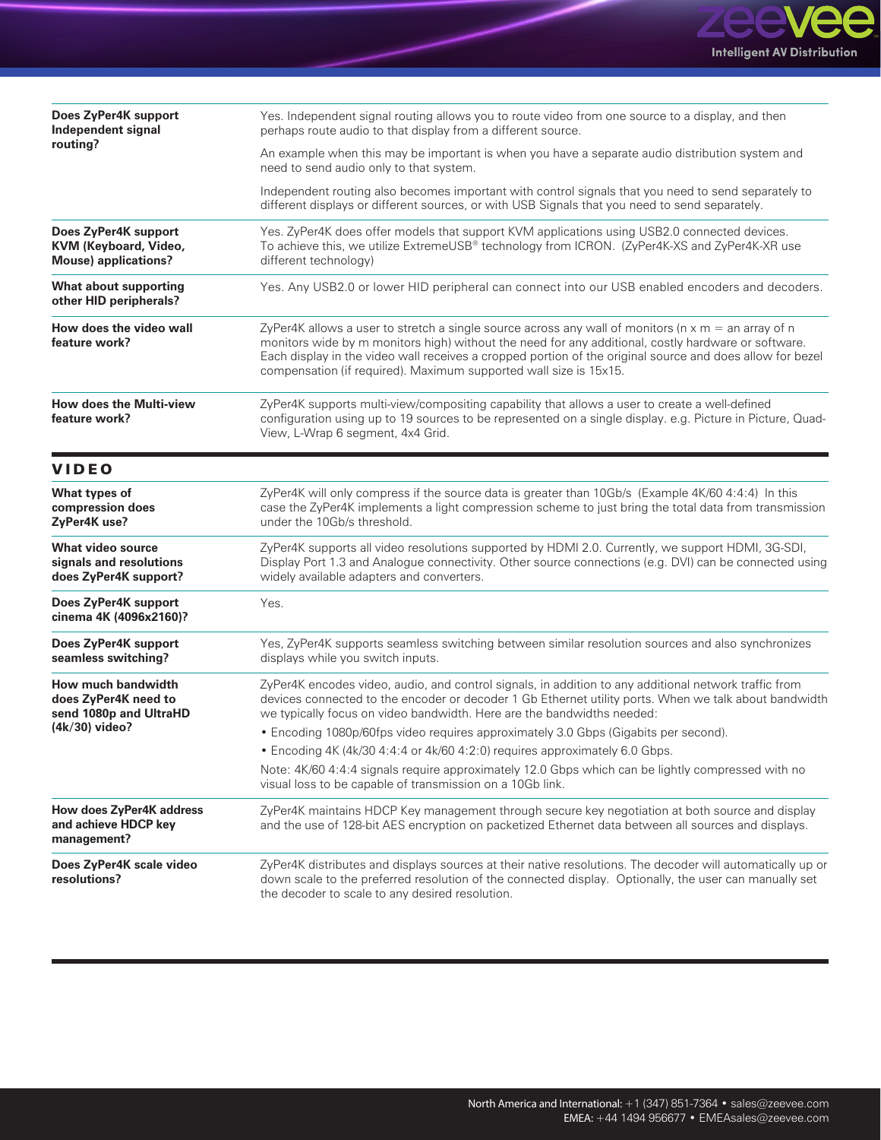

| Does ZyPer4K support<br>Independent signal                                   | Yes. Independent signal routing allows you to route video from one source to a display, and then<br>perhaps route audio to that display from a different source.                                                                                                                                                                                                                                     |  |  |  |  |  |
|------------------------------------------------------------------------------|------------------------------------------------------------------------------------------------------------------------------------------------------------------------------------------------------------------------------------------------------------------------------------------------------------------------------------------------------------------------------------------------------|--|--|--|--|--|
| routing?                                                                     | An example when this may be important is when you have a separate audio distribution system and<br>need to send audio only to that system.                                                                                                                                                                                                                                                           |  |  |  |  |  |
|                                                                              | Independent routing also becomes important with control signals that you need to send separately to<br>different displays or different sources, or with USB Signals that you need to send separately.                                                                                                                                                                                                |  |  |  |  |  |
| Does ZyPer4K support<br>KVM (Keyboard, Video,<br><b>Mouse)</b> applications? | Yes. ZyPer4K does offer models that support KVM applications using USB2.0 connected devices.<br>To achieve this, we utilize ExtremeUSB® technology from ICRON. (ZyPer4K-XS and ZyPer4K-XR use<br>different technology)                                                                                                                                                                               |  |  |  |  |  |
| <b>What about supporting</b><br>other HID peripherals?                       | Yes. Any USB2.0 or lower HID peripheral can connect into our USB enabled encoders and decoders.                                                                                                                                                                                                                                                                                                      |  |  |  |  |  |
| How does the video wall<br>feature work?                                     | ZyPer4K allows a user to stretch a single source across any wall of monitors ( $n \times m =$ an array of n<br>monitors wide by m monitors high) without the need for any additional, costly hardware or software.<br>Each display in the video wall receives a cropped portion of the original source and does allow for bezel<br>compensation (if required). Maximum supported wall size is 15x15. |  |  |  |  |  |
| <b>How does the Multi-view</b><br>feature work?                              | ZyPer4K supports multi-view/compositing capability that allows a user to create a well-defined<br>configuration using up to 19 sources to be represented on a single display. e.g. Picture in Picture, Quad-<br>View, L-Wrap 6 segment, 4x4 Grid.                                                                                                                                                    |  |  |  |  |  |
| <b>VIDEO</b>                                                                 |                                                                                                                                                                                                                                                                                                                                                                                                      |  |  |  |  |  |
| What types of<br>compression does<br>ZyPer4K use?                            | ZyPer4K will only compress if the source data is greater than 10Gb/s (Example 4K/60 4:4:4) In this<br>case the ZyPer4K implements a light compression scheme to just bring the total data from transmission<br>under the 10Gb/s threshold.                                                                                                                                                           |  |  |  |  |  |
| <b>What video source</b><br>signals and resolutions<br>does ZyPer4K support? | ZyPer4K supports all video resolutions supported by HDMI 2.0. Currently, we support HDMI, 3G-SDI,<br>Display Port 1.3 and Analogue connectivity. Other source connections (e.g. DVI) can be connected using<br>widely available adapters and converters.                                                                                                                                             |  |  |  |  |  |
| Does ZyPer4K support<br>cinema 4K (4096x2160)?                               | Yes.                                                                                                                                                                                                                                                                                                                                                                                                 |  |  |  |  |  |
| Does ZyPer4K support<br>seamless switching?                                  | Yes, ZyPer4K supports seamless switching between similar resolution sources and also synchronizes<br>displays while you switch inputs.                                                                                                                                                                                                                                                               |  |  |  |  |  |
| How much bandwidth<br>does ZyPer4K need to<br>send 1080p and UltraHD         | ZyPer4K encodes video, audio, and control signals, in addition to any additional network traffic from<br>devices connected to the encoder or decoder 1 Gb Ethernet utility ports. When we talk about bandwidth<br>we typically focus on video bandwidth. Here are the bandwidths needed:                                                                                                             |  |  |  |  |  |
| $(4k/30)$ video?                                                             | • Encoding 1080p/60fps video requires approximately 3.0 Gbps (Gigabits per second).                                                                                                                                                                                                                                                                                                                  |  |  |  |  |  |
|                                                                              | • Encoding 4K (4k/30 4:4:4 or 4k/60 4:2:0) requires approximately 6.0 Gbps.                                                                                                                                                                                                                                                                                                                          |  |  |  |  |  |
|                                                                              | Note: 4K/60 4:4:4 signals require approximately 12.0 Gbps which can be lightly compressed with no<br>visual loss to be capable of transmission on a 10Gb link.                                                                                                                                                                                                                                       |  |  |  |  |  |
| How does ZyPer4K address<br>and achieve HDCP key<br>management?              | ZyPer4K maintains HDCP Key management through secure key negotiation at both source and display<br>and the use of 128-bit AES encryption on packetized Ethernet data between all sources and displays.                                                                                                                                                                                               |  |  |  |  |  |
| Does ZyPer4K scale video<br>resolutions?                                     | ZyPer4K distributes and displays sources at their native resolutions. The decoder will automatically up or<br>down scale to the preferred resolution of the connected display. Optionally, the user can manually set<br>the decoder to scale to any desired resolution.                                                                                                                              |  |  |  |  |  |

**FAQ**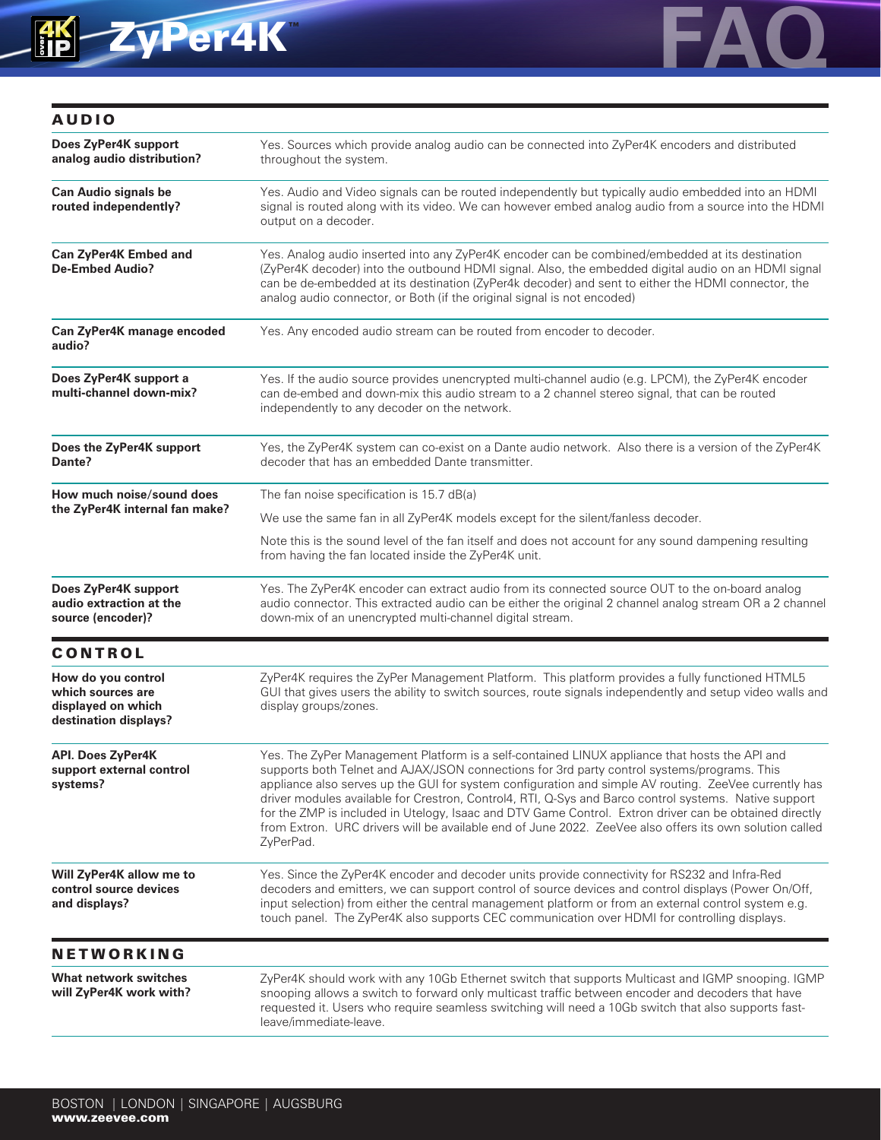

| <b>AUDIO</b>                                                                           |                                                                                                                                                                                                                                                                                                                                                                                                                                                                                                                                                                                                                                                  |  |  |  |  |
|----------------------------------------------------------------------------------------|--------------------------------------------------------------------------------------------------------------------------------------------------------------------------------------------------------------------------------------------------------------------------------------------------------------------------------------------------------------------------------------------------------------------------------------------------------------------------------------------------------------------------------------------------------------------------------------------------------------------------------------------------|--|--|--|--|
| Does ZyPer4K support<br>analog audio distribution?                                     | Yes. Sources which provide analog audio can be connected into ZyPer4K encoders and distributed<br>throughout the system.                                                                                                                                                                                                                                                                                                                                                                                                                                                                                                                         |  |  |  |  |
| <b>Can Audio signals be</b><br>routed independently?                                   | Yes. Audio and Video signals can be routed independently but typically audio embedded into an HDMI<br>signal is routed along with its video. We can however embed analog audio from a source into the HDMI<br>output on a decoder.                                                                                                                                                                                                                                                                                                                                                                                                               |  |  |  |  |
| Can ZyPer4K Embed and<br><b>De-Embed Audio?</b>                                        | Yes. Analog audio inserted into any ZyPer4K encoder can be combined/embedded at its destination<br>(ZyPer4K decoder) into the outbound HDMI signal. Also, the embedded digital audio on an HDMI signal<br>can be de-embedded at its destination (ZyPer4k decoder) and sent to either the HDMI connector, the<br>analog audio connector, or Both (if the original signal is not encoded)                                                                                                                                                                                                                                                          |  |  |  |  |
| Can ZyPer4K manage encoded<br>audio?                                                   | Yes. Any encoded audio stream can be routed from encoder to decoder.                                                                                                                                                                                                                                                                                                                                                                                                                                                                                                                                                                             |  |  |  |  |
| Does ZyPer4K support a<br>multi-channel down-mix?                                      | Yes. If the audio source provides unencrypted multi-channel audio (e.g. LPCM), the ZyPer4K encoder<br>can de-embed and down-mix this audio stream to a 2 channel stereo signal, that can be routed<br>independently to any decoder on the network.                                                                                                                                                                                                                                                                                                                                                                                               |  |  |  |  |
| Does the ZyPer4K support<br>Dante?                                                     | Yes, the ZyPer4K system can co-exist on a Dante audio network. Also there is a version of the ZyPer4K<br>decoder that has an embedded Dante transmitter.                                                                                                                                                                                                                                                                                                                                                                                                                                                                                         |  |  |  |  |
| How much noise/sound does                                                              | The fan noise specification is 15.7 dB(a)                                                                                                                                                                                                                                                                                                                                                                                                                                                                                                                                                                                                        |  |  |  |  |
| the ZyPer4K internal fan make?                                                         | We use the same fan in all ZyPer4K models except for the silent/fanless decoder.                                                                                                                                                                                                                                                                                                                                                                                                                                                                                                                                                                 |  |  |  |  |
|                                                                                        | Note this is the sound level of the fan itself and does not account for any sound dampening resulting<br>from having the fan located inside the ZyPer4K unit.                                                                                                                                                                                                                                                                                                                                                                                                                                                                                    |  |  |  |  |
| Does ZyPer4K support<br>audio extraction at the<br>source (encoder)?                   | Yes. The ZyPer4K encoder can extract audio from its connected source OUT to the on-board analog<br>audio connector. This extracted audio can be either the original 2 channel analog stream OR a 2 channel<br>down-mix of an unencrypted multi-channel digital stream.                                                                                                                                                                                                                                                                                                                                                                           |  |  |  |  |
| <b>CONTROL</b>                                                                         |                                                                                                                                                                                                                                                                                                                                                                                                                                                                                                                                                                                                                                                  |  |  |  |  |
| How do you control<br>which sources are<br>displayed on which<br>destination displays? | ZyPer4K requires the ZyPer Management Platform. This platform provides a fully functioned HTML5<br>GUI that gives users the ability to switch sources, route signals independently and setup video walls and<br>display groups/zones.                                                                                                                                                                                                                                                                                                                                                                                                            |  |  |  |  |
| <b>API. Does ZyPer4K</b><br>support external control<br>systems?                       | Yes. The ZyPer Management Platform is a self-contained LINUX appliance that hosts the API and<br>supports both Telnet and AJAX/JSON connections for 3rd party control systems/programs. This<br>appliance also serves up the GUI for system configuration and simple AV routing. ZeeVee currently has<br>driver modules available for Crestron, Control4, RTI, Q-Sys and Barco control systems. Native support<br>for the ZMP is included in Utelogy, Isaac and DTV Game Control. Extron driver can be obtained directly<br>from Extron. URC drivers will be available end of June 2022. ZeeVee also offers its own solution called<br>ZyPerPad. |  |  |  |  |
| Will ZyPer4K allow me to<br>control source devices<br>and displays?                    | Yes. Since the ZyPer4K encoder and decoder units provide connectivity for RS232 and Infra-Red<br>decoders and emitters, we can support control of source devices and control displays (Power On/Off,<br>input selection) from either the central management platform or from an external control system e.g.<br>touch panel. The ZyPer4K also supports CEC communication over HDMI for controlling displays.                                                                                                                                                                                                                                     |  |  |  |  |
| <b>NETWORKING</b>                                                                      |                                                                                                                                                                                                                                                                                                                                                                                                                                                                                                                                                                                                                                                  |  |  |  |  |
| What network switches<br>will ZyPer4K work with?                                       | ZyPer4K should work with any 10Gb Ethernet switch that supports Multicast and IGMP snooping. IGMP<br>snooping allows a switch to forward only multicast traffic between encoder and decoders that have<br>requested it. Users who require seamless switching will need a 10Gb switch that also supports fast-<br>leave/immediate-leave.                                                                                                                                                                                                                                                                                                          |  |  |  |  |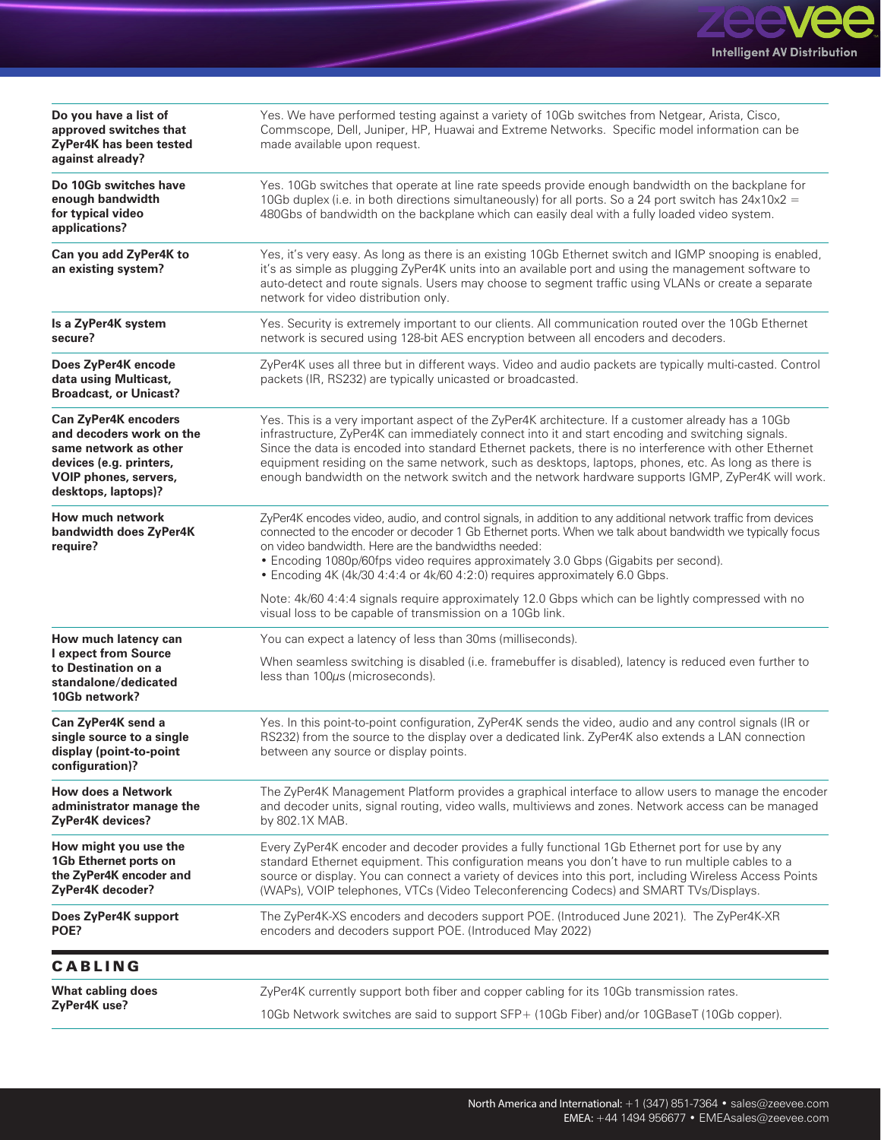

| Do you have a list of<br>approved switches that<br>ZyPer4K has been tested<br>against already?                                                              | Yes. We have performed testing against a variety of 10Gb switches from Netgear, Arista, Cisco,<br>Commscope, Dell, Juniper, HP, Huawai and Extreme Networks. Specific model information can be<br>made available upon request.                                                                                                                                                                                                                                                                                                |  |  |  |  |  |
|-------------------------------------------------------------------------------------------------------------------------------------------------------------|-------------------------------------------------------------------------------------------------------------------------------------------------------------------------------------------------------------------------------------------------------------------------------------------------------------------------------------------------------------------------------------------------------------------------------------------------------------------------------------------------------------------------------|--|--|--|--|--|
| Do 10Gb switches have<br>enough bandwidth<br>for typical video<br>applications?                                                                             | Yes. 10Gb switches that operate at line rate speeds provide enough bandwidth on the backplane for<br>10Gb duplex (i.e. in both directions simultaneously) for all ports. So a 24 port switch has $24 \times 10 \times 2 =$<br>480Gbs of bandwidth on the backplane which can easily deal with a fully loaded video system.                                                                                                                                                                                                    |  |  |  |  |  |
| Can you add ZyPer4K to<br>an existing system?                                                                                                               | Yes, it's very easy. As long as there is an existing 10Gb Ethernet switch and IGMP snooping is enabled,<br>it's as simple as plugging ZyPer4K units into an available port and using the management software to<br>auto-detect and route signals. Users may choose to segment traffic using VLANs or create a separate<br>network for video distribution only.                                                                                                                                                                |  |  |  |  |  |
| Is a ZyPer4K system<br>secure?                                                                                                                              | Yes. Security is extremely important to our clients. All communication routed over the 10Gb Ethernet<br>network is secured using 128-bit AES encryption between all encoders and decoders.                                                                                                                                                                                                                                                                                                                                    |  |  |  |  |  |
| Does ZyPer4K encode<br>data using Multicast,<br><b>Broadcast, or Unicast?</b>                                                                               | ZyPer4K uses all three but in different ways. Video and audio packets are typically multi-casted. Control<br>packets (IR, RS232) are typically unicasted or broadcasted.                                                                                                                                                                                                                                                                                                                                                      |  |  |  |  |  |
| <b>Can ZyPer4K encoders</b><br>and decoders work on the<br>same network as other<br>devices (e.g. printers,<br>VOIP phones, servers,<br>desktops, laptops)? | Yes. This is a very important aspect of the ZyPer4K architecture. If a customer already has a 10Gb<br>infrastructure, ZyPer4K can immediately connect into it and start encoding and switching signals.<br>Since the data is encoded into standard Ethernet packets, there is no interference with other Ethernet<br>equipment residing on the same network, such as desktops, laptops, phones, etc. As long as there is<br>enough bandwidth on the network switch and the network hardware supports IGMP, ZyPer4K will work. |  |  |  |  |  |
| How much network<br>bandwidth does ZyPer4K<br>require?                                                                                                      | ZyPer4K encodes video, audio, and control signals, in addition to any additional network traffic from devices<br>connected to the encoder or decoder 1 Gb Ethernet ports. When we talk about bandwidth we typically focus<br>on video bandwidth. Here are the bandwidths needed:<br>• Encoding 1080p/60fps video requires approximately 3.0 Gbps (Gigabits per second).<br>• Encoding 4K (4k/30 4:4:4 or 4k/60 4:2:0) requires approximately 6.0 Gbps.                                                                        |  |  |  |  |  |
|                                                                                                                                                             | Note: 4k/60 4:4:4 signals require approximately 12.0 Gbps which can be lightly compressed with no<br>visual loss to be capable of transmission on a 10Gb link.                                                                                                                                                                                                                                                                                                                                                                |  |  |  |  |  |
| How much latency can                                                                                                                                        | You can expect a latency of less than 30ms (milliseconds).                                                                                                                                                                                                                                                                                                                                                                                                                                                                    |  |  |  |  |  |
| I expect from Source<br>to Destination on a<br>standalone/dedicated<br>10Gb network?                                                                        | When seamless switching is disabled (i.e. framebuffer is disabled), latency is reduced even further to<br>less than 100µs (microseconds).                                                                                                                                                                                                                                                                                                                                                                                     |  |  |  |  |  |
| Can ZyPer4K send a<br>single source to a single<br>display (point-to-point<br>configuration)?                                                               | Yes. In this point-to-point configuration, ZyPer4K sends the video, audio and any control signals (IR or<br>RS232) from the source to the display over a dedicated link. ZyPer4K also extends a LAN connection<br>between any source or display points.                                                                                                                                                                                                                                                                       |  |  |  |  |  |
| <b>How does a Network</b><br>administrator manage the<br><b>ZyPer4K devices?</b>                                                                            | The ZyPer4K Management Platform provides a graphical interface to allow users to manage the encoder<br>and decoder units, signal routing, video walls, multiviews and zones. Network access can be managed<br>by 802.1X MAB.                                                                                                                                                                                                                                                                                                  |  |  |  |  |  |
| How might you use the<br>1Gb Ethernet ports on<br>the ZyPer4K encoder and<br>ZyPer4K decoder?                                                               | Every ZyPer4K encoder and decoder provides a fully functional 1Gb Ethernet port for use by any<br>standard Ethernet equipment. This configuration means you don't have to run multiple cables to a<br>source or display. You can connect a variety of devices into this port, including Wireless Access Points<br>(WAPs), VOIP telephones, VTCs (Video Teleconferencing Codecs) and SMART TVs/Displays.                                                                                                                       |  |  |  |  |  |
| Does ZyPer4K support<br>POE?                                                                                                                                | The ZyPer4K-XS encoders and decoders support POE. (Introduced June 2021). The ZyPer4K-XR<br>encoders and decoders support POE. (Introduced May 2022)                                                                                                                                                                                                                                                                                                                                                                          |  |  |  |  |  |
| <b>CABLING</b>                                                                                                                                              |                                                                                                                                                                                                                                                                                                                                                                                                                                                                                                                               |  |  |  |  |  |
| <b>What cabling does</b>                                                                                                                                    | ZyPer4K currently support both fiber and copper cabling for its 10Gb transmission rates.                                                                                                                                                                                                                                                                                                                                                                                                                                      |  |  |  |  |  |
| ZyPer4K use?                                                                                                                                                | 10Gb Network switches are said to support SFP+ (10Gb Fiber) and/or 10GBaseT (10Gb copper).                                                                                                                                                                                                                                                                                                                                                                                                                                    |  |  |  |  |  |

**FAQ**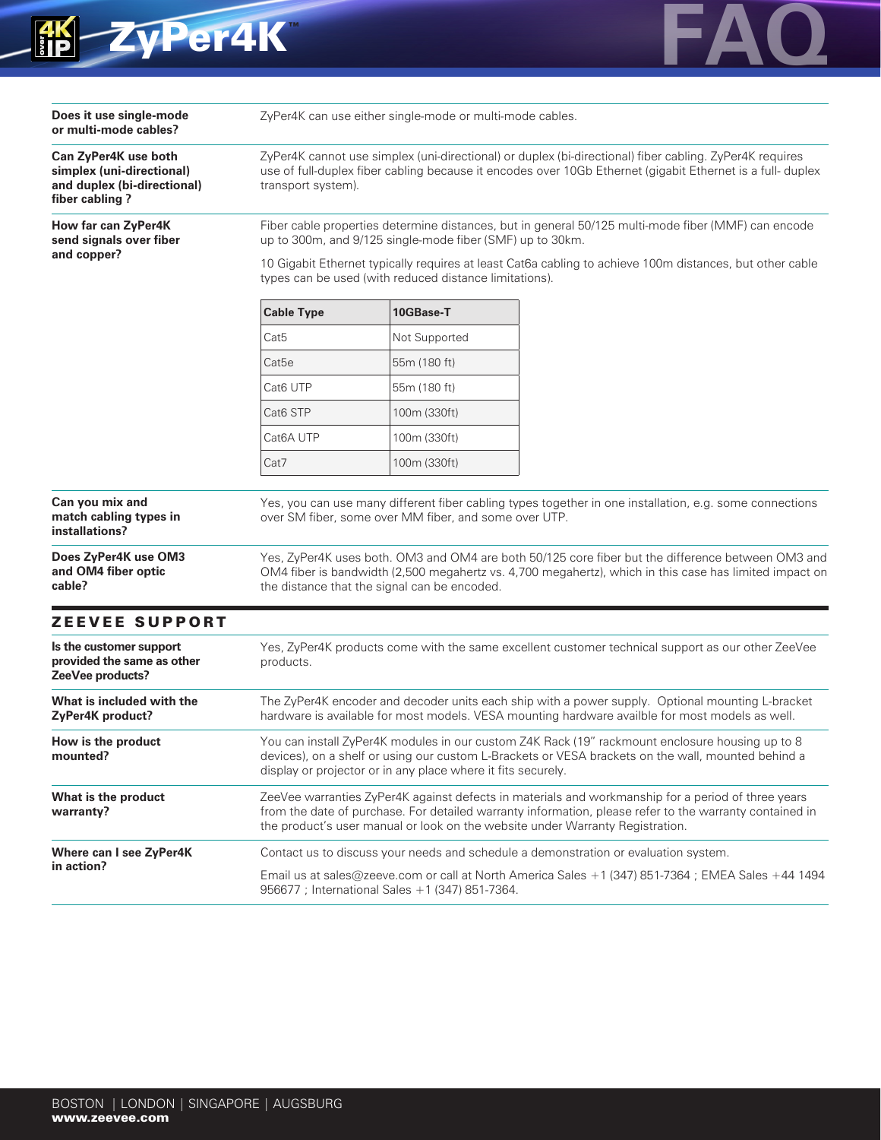



| Does it use single-mode<br>or multi-mode cables?                                                   | ZyPer4K can use either single-mode or multi-mode cables.                                                                                                                                                                                                                                                                               |               |                                                                                                   |  |  |  |
|----------------------------------------------------------------------------------------------------|----------------------------------------------------------------------------------------------------------------------------------------------------------------------------------------------------------------------------------------------------------------------------------------------------------------------------------------|---------------|---------------------------------------------------------------------------------------------------|--|--|--|
| Can ZyPer4K use both<br>simplex (uni-directional)<br>and duplex (bi-directional)<br>fiber cabling? | ZyPer4K cannot use simplex (uni-directional) or duplex (bi-directional) fiber cabling. ZyPer4K requires<br>use of full-duplex fiber cabling because it encodes over 10Gb Ethernet (gigabit Ethernet is a full- duplex<br>transport system).                                                                                            |               |                                                                                                   |  |  |  |
| How far can ZyPer4K<br>send signals over fiber                                                     | Fiber cable properties determine distances, but in general 50/125 multi-mode fiber (MMF) can encode<br>up to 300m, and 9/125 single-mode fiber (SMF) up to 30km.<br>10 Gigabit Ethernet typically requires at least Cat6a cabling to achieve 100m distances, but other cable<br>types can be used (with reduced distance limitations). |               |                                                                                                   |  |  |  |
| and copper?                                                                                        |                                                                                                                                                                                                                                                                                                                                        |               |                                                                                                   |  |  |  |
|                                                                                                    | <b>Cable Type</b>                                                                                                                                                                                                                                                                                                                      | 10GBase-T     |                                                                                                   |  |  |  |
|                                                                                                    | Cat <sub>5</sub>                                                                                                                                                                                                                                                                                                                       | Not Supported |                                                                                                   |  |  |  |
|                                                                                                    | Cat5e                                                                                                                                                                                                                                                                                                                                  | 55m (180 ft)  |                                                                                                   |  |  |  |
|                                                                                                    | Cat6 UTP                                                                                                                                                                                                                                                                                                                               | 55m (180 ft)  |                                                                                                   |  |  |  |
|                                                                                                    | Cat <sub>6</sub> STP                                                                                                                                                                                                                                                                                                                   | 100m (330ft)  |                                                                                                   |  |  |  |
|                                                                                                    | Cat6A UTP                                                                                                                                                                                                                                                                                                                              | 100m (330ft)  |                                                                                                   |  |  |  |
|                                                                                                    | Cat7                                                                                                                                                                                                                                                                                                                                   | 100m (330ft)  |                                                                                                   |  |  |  |
| installations?<br>Does ZyPer4K use OM3<br>and OM4 fiber optic<br>cable?                            | over SM fiber, some over MM fiber, and some over UTP.<br>Yes, ZyPer4K uses both. OM3 and OM4 are both 50/125 core fiber but the difference between OM3 and<br>OM4 fiber is bandwidth (2,500 megahertz vs. 4,700 megahertz), which in this case has limited impact on<br>the distance that the signal can be encoded.                   |               |                                                                                                   |  |  |  |
| <b>ZEEVEE SUPPORT</b>                                                                              |                                                                                                                                                                                                                                                                                                                                        |               |                                                                                                   |  |  |  |
| Is the customer support<br>provided the same as other<br>ZeeVee products?                          | products.                                                                                                                                                                                                                                                                                                                              |               | Yes, ZyPer4K products come with the same excellent customer technical support as our other ZeeVee |  |  |  |
| What is included with the<br>ZyPer4K product?                                                      | The ZyPer4K encoder and decoder units each ship with a power supply. Optional mounting L-bracket<br>hardware is available for most models. VESA mounting hardware availble for most models as well.                                                                                                                                    |               |                                                                                                   |  |  |  |
| How is the product<br>mounted?                                                                     | You can install ZyPer4K modules in our custom Z4K Rack (19" rackmount enclosure housing up to 8<br>devices), on a shelf or using our custom L-Brackets or VESA brackets on the wall, mounted behind a<br>display or projector or in any place where it fits securely.                                                                  |               |                                                                                                   |  |  |  |
| What is the product<br>warranty?                                                                   | ZeeVee warranties ZyPer4K against defects in materials and workmanship for a period of three years<br>from the date of purchase. For detailed warranty information, please refer to the warranty contained in<br>the product's user manual or look on the website under Warranty Registration.                                         |               |                                                                                                   |  |  |  |
| Where can I see ZyPer4K                                                                            | Contact us to discuss your needs and schedule a demonstration or evaluation system.                                                                                                                                                                                                                                                    |               |                                                                                                   |  |  |  |
| in action?                                                                                         | Email us at sales@zeeve.com or call at North America Sales +1 (347) 851-7364 ; EMEA Sales +44 1494<br>956677 ; International Sales +1 (347) 851-7364.                                                                                                                                                                                  |               |                                                                                                   |  |  |  |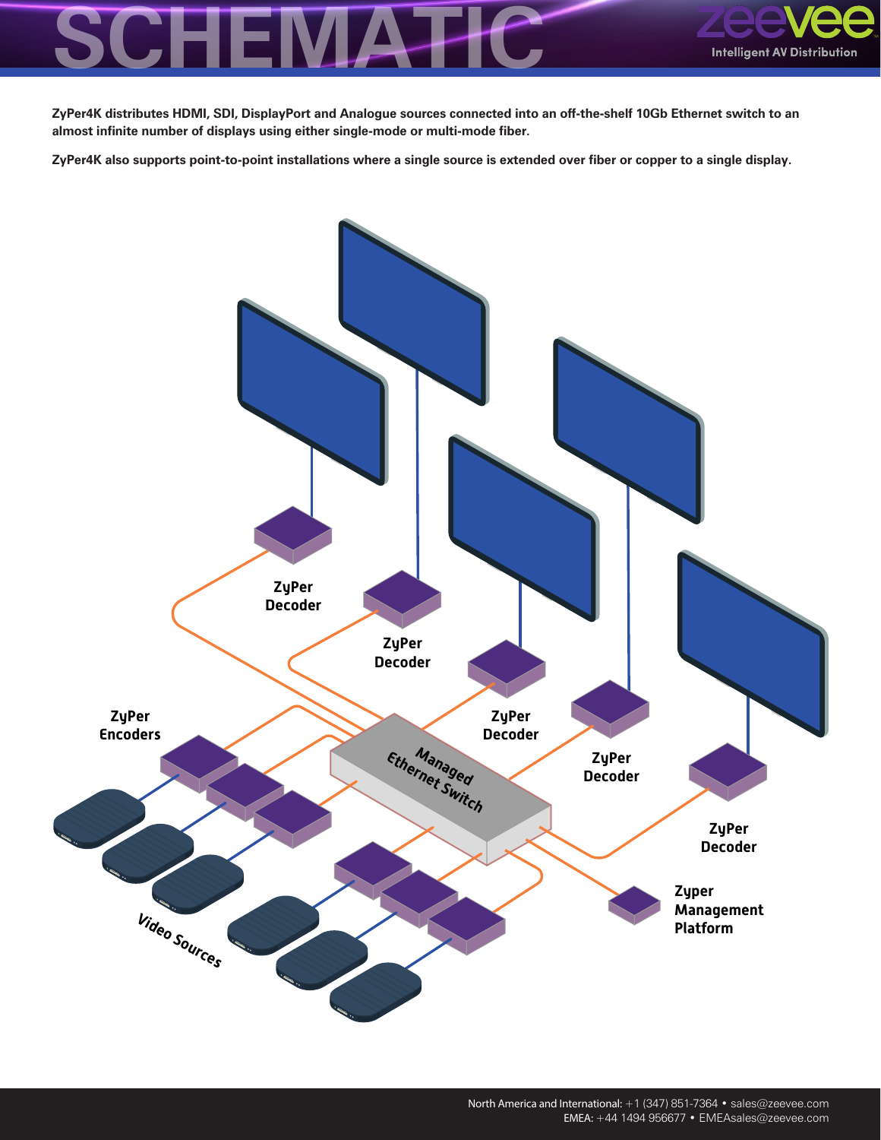

**ZyPer4K distributes HDMI, SDI, DisplayPort and Analogue sources connected into an off-the-shelf 10Gb Ethernet switch to an almost infinite number of displays using either single-mode or multi-mode fiber.** 

**ZyPer4K also supports point-to-point installations where a single source is extended over fiber or copper to a single display.**